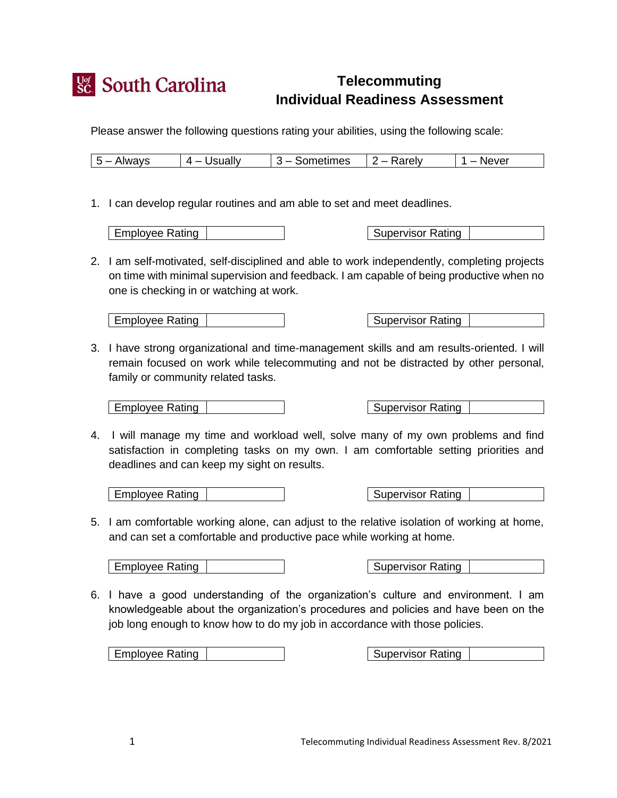

## **Telecommuting Individual Readiness Assessment**

Please answer the following questions rating your abilities, using the following scale:

| $5 -$ Always | $4 -$ Usually | $\vert$ 3 – Sometimes $\vert$ 2 – Rarely | . – Never |
|--------------|---------------|------------------------------------------|-----------|

1. I can develop regular routines and am able to set and meet deadlines.

**Employee Rating** 

| <b>Supervisor Rating</b> |  |
|--------------------------|--|

 2. I am self-motivated, self-disciplined and able to work independently, completing projects on time with minimal supervision and feedback. I am capable of being productive when no one is checking in or watching at work.

Employee Rating | The Supervisor Rating | Supervisor Rating

 3. I have strong organizational and time-management skills and am results-oriented. I will remain focused on work while telecommuting and not be distracted by other personal, family or community related tasks.

Employee Rating | The Supervisor Rating | Supervisor Rating

 4. I will manage my time and workload well, solve many of my own problems and find satisfaction in completing tasks on my own. I am comfortable setting priorities and deadlines and can keep my sight on results.

Employee Rating | The Supervisor Rating | Supervisor Rating

 5. I am comfortable working alone, can adjust to the relative isolation of working at home, and can set a comfortable and productive pace while working at home.

| Employee Rating | November 2016 | Supervisor Rating

 6. I have a good understanding of the organization's culture and environment. I am knowledgeable about the organization's procedures and policies and have been on the job long enough to know how to do my job in accordance with those policies.

Employee Rating | Supervisor Rating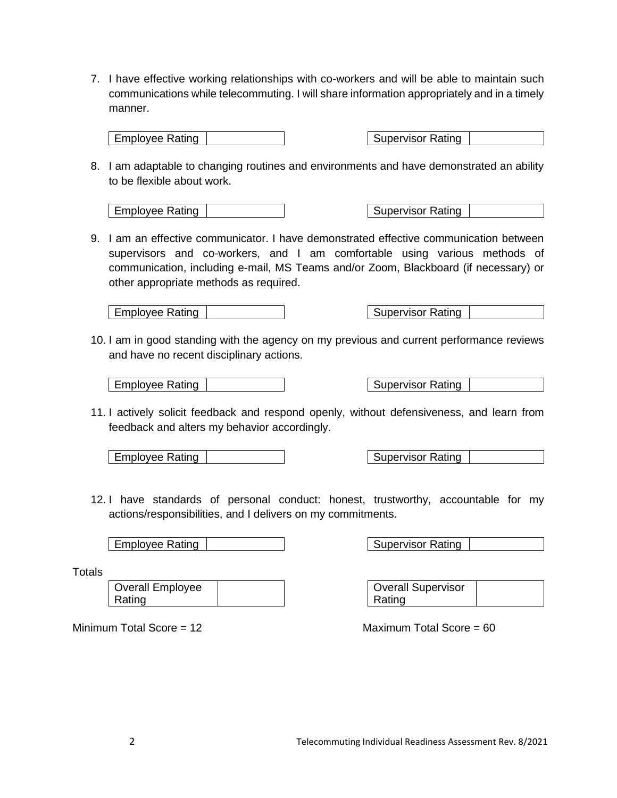7. I have effective working relationships with co-workers and will be able to maintain such communications while telecommuting. I will share information appropriately and in a timely manner.

Employee Rating | The Supervisor Rating | Supervisor Rating

 8. I am adaptable to changing routines and environments and have demonstrated an ability to be flexible about work.

Employee Rating | Supervisor Rating | Supervisor Rating | Supervisor Rating | Supervisor Rating

 9. I am an effective communicator. I have demonstrated effective communication between supervisors and co-workers, and I am comfortable using various methods of communication, including e-mail, MS Teams and/or Zoom, Blackboard (if necessary) or other appropriate methods as required.

| Employee Rating | Supervisor Rating | Supervisor Rating

 10. I am in good standing with the agency on my previous and current performance reviews and have no recent disciplinary actions.

| Employee Rating | November 2016 | Supervisor Rating

11. I actively solicit feedback and respond openly, without defensiveness, and learn from feedback and alters my behavior accordingly.

Employee Rating | The Supervisor Rating | Supervisor Rating

 12. I have standards of personal conduct: honest, trustworthy, accountable for my actions/responsibilities, and I delivers on my commitments.

| Employee Rating | The Supervisor Rating | Supervisor Rating

**Totals** 

Overall Employee Rating

Minimum Total Score =  $12$ 

Overall Supervisor Rating

Maximum Total Score =  $60$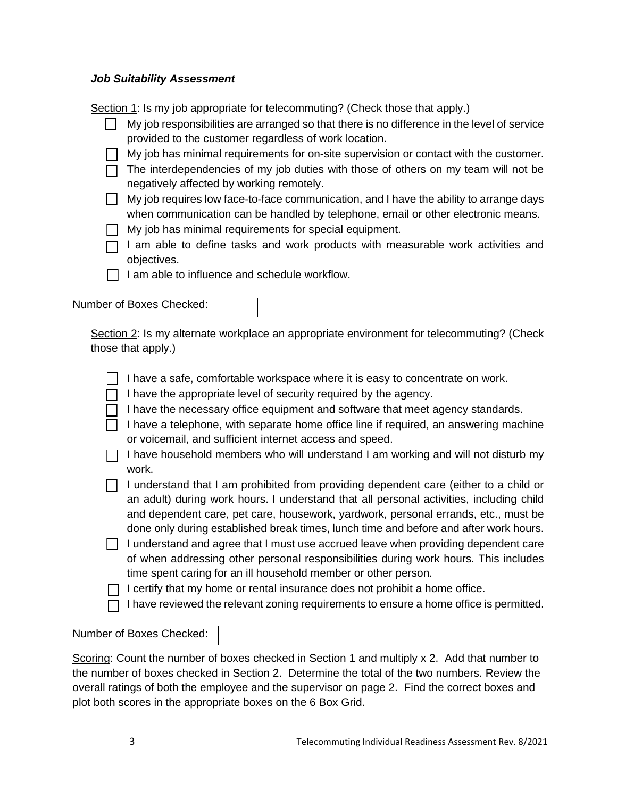## *Job Suitability Assessment*

Section 1: Is my job appropriate for telecommuting? (Check those that apply.)

| My job responsibilities are arranged so that there is no difference in the level of service |
|---------------------------------------------------------------------------------------------|
| provided to the customer regardless of work location.                                       |

- My job has minimal requirements for on-site supervision or contact with the customer.
- $\Box$  The interdependencies of my job duties with those of others on my team will not be negatively affected by working remotely.
- My job requires low face-to-face communication, and I have the ability to arrange days when communication can be handled by telephone, email or other electronic means.
- **My job has minimal requirements for special equipment.**
- $\sqcap$  I am able to define tasks and work products with measurable work activities and objectives.
- $\Box$  I am able to influence and schedule workflow.

Number of Boxes Checked:

Section 2: Is my alternate workplace an appropriate environment for telecommuting? (Check those that apply.)

I have a safe, comfortable workspace where it is easy to concentrate on work.

- $\Box$  I have the appropriate level of security required by the agency.
- $\Box$  I have the necessary office equipment and software that meet agency standards.
- $\Box$  I have a telephone, with separate home office line if required, an answering machine or voicemail, and sufficient internet access and speed.
- $\Box$  I have household members who will understand I am working and will not disturb my work.
- $\Box$  I understand that I am prohibited from providing dependent care (either to a child or an adult) during work hours. I understand that all personal activities, including child and dependent care, pet care, housework, yardwork, personal errands, etc., must be done only during established break times, lunch time and before and after work hours.
- I understand and agree that I must use accrued leave when providing dependent care of when addressing other personal responsibilities during work hours. This includes time spent caring for an ill household member or other person.

 $\Box$  I certify that my home or rental insurance does not prohibit a home office.

 $\Box$  I have reviewed the relevant zoning requirements to ensure a home office is permitted.

Number of Boxes Checked:

Scoring: Count the number of boxes checked in Section 1 and multiply x 2. Add that number to the number of boxes checked in Section 2. Determine the total of the two numbers. Review the overall ratings of both the employee and the supervisor on page 2. Find the correct boxes and plot both scores in the appropriate boxes on the 6 Box Grid.